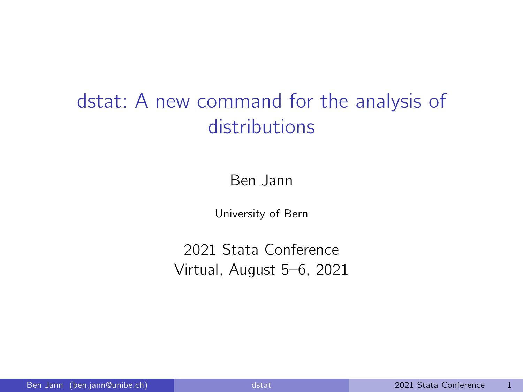# <span id="page-0-0"></span>dstat: A new command for the analysis of distributions

Ben Jann

University of Bern

2021 Stata Conference Virtual, August 5–6, 2021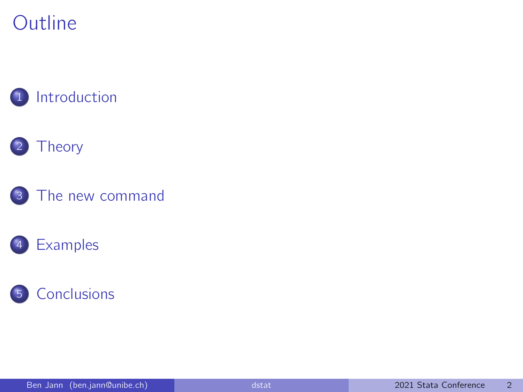### **Outline**



#### **[Theory](#page-5-0)**







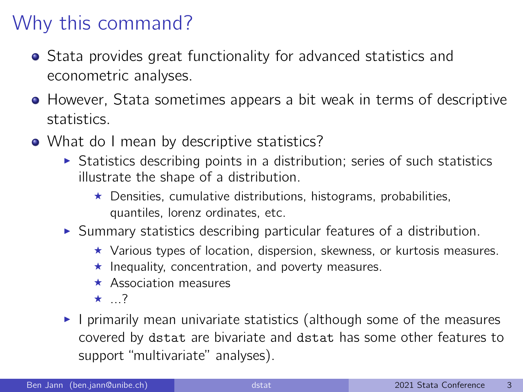## <span id="page-2-0"></span>Why this command?

- Stata provides great functionality for advanced statistics and econometric analyses.
- However, Stata sometimes appears a bit weak in terms of descriptive statistics.
- What do I mean by descriptive statistics?
	- $\triangleright$  Statistics describing points in a distribution; series of such statistics illustrate the shape of a distribution.
		- $\star$  Densities, cumulative distributions, histograms, probabilities, quantiles, lorenz ordinates, etc.
	- $\triangleright$  Summary statistics describing particular features of a distribution.
		- $\star$  Various types of location, dispersion, skewness, or kurtosis measures.
		- $\star$  Inequality, concentration, and poverty measures.
		- $\star$  Association measures
		- $\star$  ...?
	- I primarily mean univariate statistics (although some of the measures covered by dstat are bivariate and dstat has some other features to support "multivariate" analyses).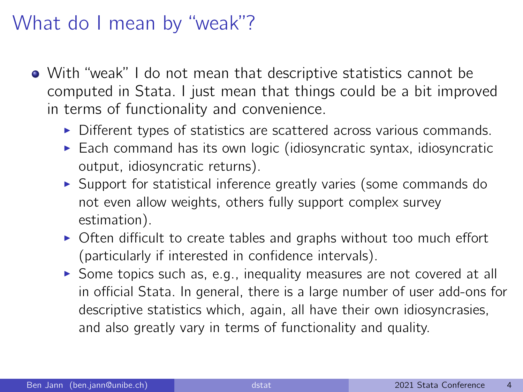#### What do I mean by "weak"?

- With "weak" I do not mean that descriptive statistics cannot be computed in Stata. I just mean that things could be a bit improved in terms of functionality and convenience.
	- $\triangleright$  Different types of statistics are scattered across various commands.
	- $\triangleright$  Each command has its own logic (idiosyncratic syntax, idiosyncratic output, idiosyncratic returns).
	- $\triangleright$  Support for statistical inference greatly varies (some commands do not even allow weights, others fully support complex survey estimation).
	- $\triangleright$  Often difficult to create tables and graphs without too much effort (particularly if interested in confidence intervals).
	- $\triangleright$  Some topics such as, e.g., inequality measures are not covered at all in official Stata. In general, there is a large number of user add-ons for descriptive statistics which, again, all have their own idiosyncrasies, and also greatly vary in terms of functionality and quality.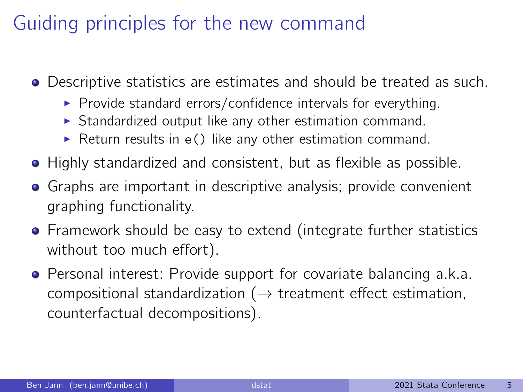## Guiding principles for the new command

- Descriptive statistics are estimates and should be treated as such.
	- $\triangleright$  Provide standard errors/confidence intervals for everything.
	- $\triangleright$  Standardized output like any other estimation command.
	- $\triangleright$  Return results in e() like any other estimation command.
- Highly standardized and consistent, but as flexible as possible.
- Graphs are important in descriptive analysis; provide convenient graphing functionality.
- **•** Framework should be easy to extend (integrate further statistics without too much effort).
- **•** Personal interest: Provide support for covariate balancing a.k.a. compositional standardization ( $\rightarrow$  treatment effect estimation, counterfactual decompositions).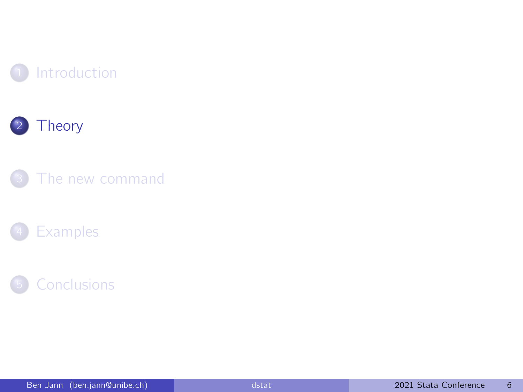<span id="page-5-0"></span>







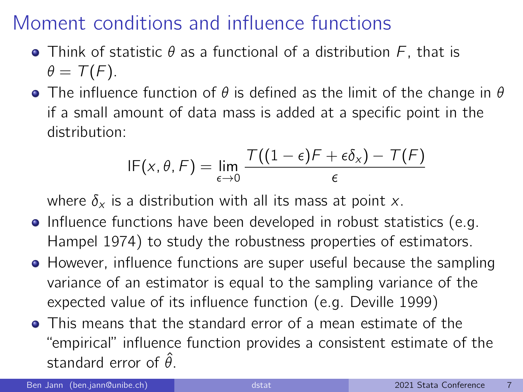- Think of statistic  $\theta$  as a functional of a distribution  $F$ , that is  $\theta = \mathcal{T}(F)$ .
- **•** The influence function of  $\theta$  is defined as the limit of the change in  $\theta$ if a small amount of data mass is added at a specific point in the distribution:

$$
\mathsf{IF}(x,\theta,\mathsf{F}) = \lim_{\epsilon \to 0} \frac{\mathsf{T}((1-\epsilon)\mathsf{F} + \epsilon \delta_x) - \mathsf{T}(\mathsf{F})}{\epsilon}
$$

where  $\delta_x$  is a distribution with all its mass at point x.

- Influence functions have been developed in robust statistics (e.g. Hampel 1974) to study the robustness properties of estimators.
- **•** However, influence functions are super useful because the sampling variance of an estimator is equal to the sampling variance of the expected value of its influence function (e.g. Deville 1999)
- This means that the standard error of a mean estimate of the "empirical" influence function provides a consistent estimate of the standard error of  $\hat{\theta}$ .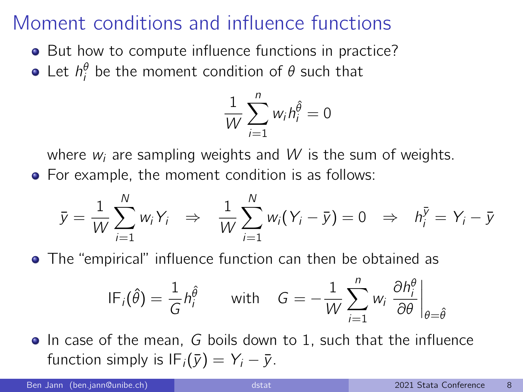- But how to compute influence functions in practice?
- Let  $h_i^{\theta}$  be the moment condition of  $\theta$  such that

$$
\frac{1}{W}\sum_{i=1}^n w_i h_i^{\hat{\theta}} = 0
$$

where  $w_i$  are sampling weights and W is the sum of weights. For example, the moment condition is as follows:

$$
\bar{y} = \frac{1}{W} \sum_{i=1}^{N} w_i Y_i \Rightarrow \frac{1}{W} \sum_{i=1}^{N} w_i (Y_i - \bar{y}) = 0 \Rightarrow h_i^{\bar{y}} = Y_i - \bar{y}
$$

The "empirical" influence function can then be obtained as

$$
IF_i(\hat{\theta}) = \frac{1}{G} h_i^{\hat{\theta}} \qquad \text{with} \quad G = -\frac{1}{W} \sum_{i=1}^n w_i \left. \frac{\partial h_i^{\theta}}{\partial \theta} \right|_{\theta = \hat{\theta}}
$$

• In case of the mean, G boils down to 1, such that the influence function simply is  $IF_i(\bar{y}) = Y_i - \bar{y}$ .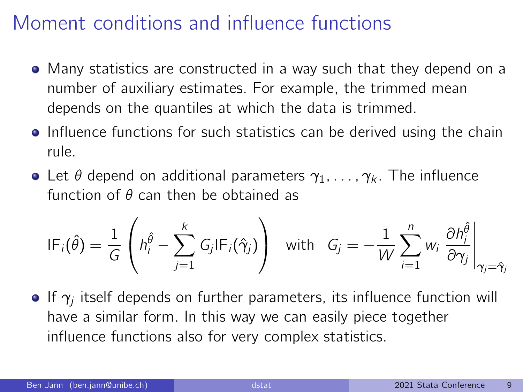- Many statistics are constructed in a way such that they depend on a number of auxiliary estimates. For example, the trimmed mean depends on the quantiles at which the data is trimmed.
- **•** Influence functions for such statistics can be derived using the chain rule.
- Let  $\theta$  depend on additional parameters  $\gamma_1, \ldots, \gamma_k$ . The influence function of  $\theta$  can then be obtained as

$$
IF_i(\hat{\theta}) = \frac{1}{G} \left( h_i^{\hat{\theta}} - \sum_{j=1}^k G_j IF_i(\hat{\gamma}_j) \right) \quad \text{with} \quad G_j = -\frac{1}{W} \sum_{i=1}^n w_i \left. \frac{\partial h_i^{\hat{\theta}}}{\partial \gamma_j} \right|_{\gamma_j = \hat{\gamma}_j}
$$

If  $\gamma_j$  itself depends on further parameters, its influence function will have a similar form. In this way we can easily piece together influence functions also for very complex statistics.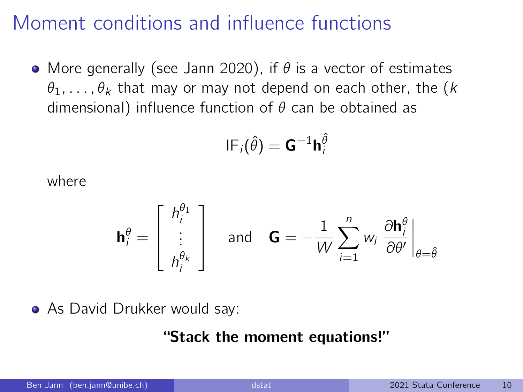• More generally (see Jann 2020), if  $\theta$  is a vector of estimates  $\theta_1, \ldots, \theta_k$  that may or may not depend on each other, the (k dimensional) influence function of  $\theta$  can be obtained as

$$
\mathsf{IF}_i(\hat{\theta}) = \mathsf{G}^{-1} \mathsf{h}_i^{\hat{\theta}}
$$

where

$$
\mathbf{h}_i^{\theta} = \begin{bmatrix} h_i^{\theta_1} \\ \vdots \\ h_i^{\theta_k} \end{bmatrix} \quad \text{and} \quad \mathbf{G} = -\frac{1}{W} \sum_{i=1}^n w_i \left. \frac{\partial \mathbf{h}_i^{\theta}}{\partial \theta'} \right|_{\theta = \hat{\theta}}
$$

• As David Drukker would say:

#### "Stack the moment equations!"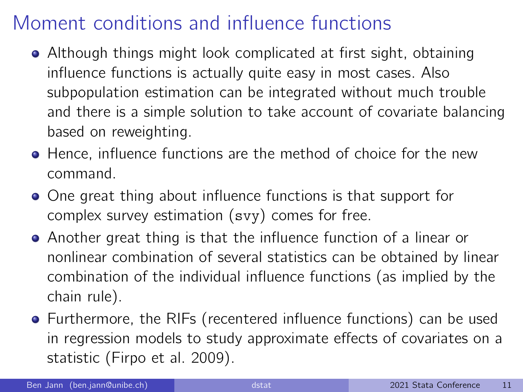- Although things might look complicated at first sight, obtaining influence functions is actually quite easy in most cases. Also subpopulation estimation can be integrated without much trouble and there is a simple solution to take account of covariate balancing based on reweighting.
- Hence, influence functions are the method of choice for the new command.
- One great thing about influence functions is that support for complex survey estimation (svy) comes for free.
- Another great thing is that the influence function of a linear or nonlinear combination of several statistics can be obtained by linear combination of the individual influence functions (as implied by the chain rule).
- Furthermore, the RIFs (recentered influence functions) can be used in regression models to study approximate effects of covariates on a statistic (Firpo et al. 2009).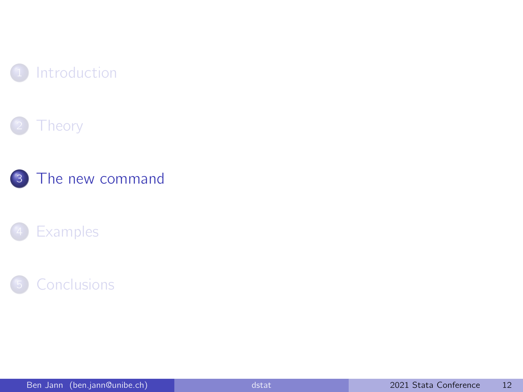<span id="page-11-0"></span>







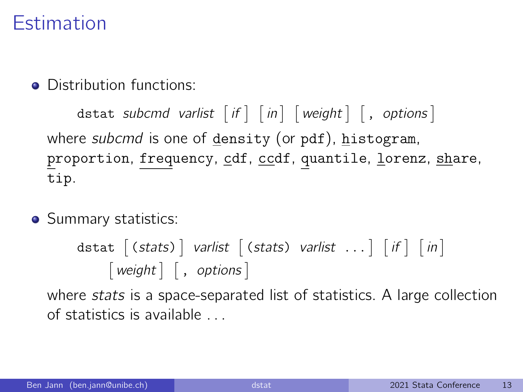#### Estimation

**Q** Distribution functions:

 $\texttt{dist} \texttt{subcmd} \texttt{varlist} \texttt{[if] [in] [weight] [, options] }$ where *subcmd* is one of density (or pdf), histogram, proportion, frequency, cdf, ccdf, quantile, lorenz, share, tip.

• Summary statistics:

$$
distat [ (stats) ] varlist [ (stats) \ varlist ... ] [if ] [in]
$$
  
[ *weight ] [ , options ]*

where stats is a space-separated list of statistics. A large collection of statistics is available . . .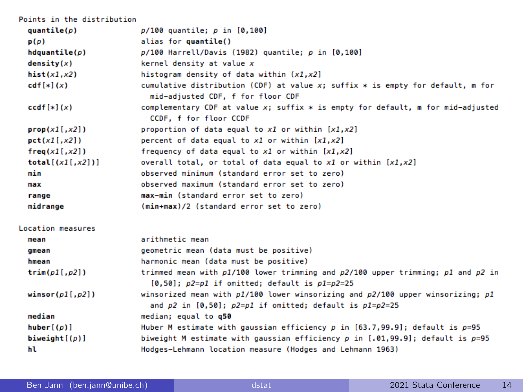| Points in the distribution |                                                                                                                                                          |
|----------------------------|----------------------------------------------------------------------------------------------------------------------------------------------------------|
| quantile(p)                | $p/100$ quantile; $p$ in $[0, 100]$                                                                                                                      |
| p(p)                       | alias for quantile()                                                                                                                                     |
| hdquantile(p)              | p/100 Harrell/Davis (1982) quantile; p in [0,100]                                                                                                        |
| density(x)                 | kernel density at value x                                                                                                                                |
| hist(x1,x2)                | histogram density of data within $(x1, x2)$                                                                                                              |
| $cdf[*](x)$                | cumulative distribution (CDF) at value $x$ ; suffix $*$ is empty for default, m for<br>mid-adjusted CDF, f for floor CDF                                 |
| $ccdf[*](x)$               | complementary CDF at value x; suffix * is empty for default, m for mid-adjusted<br>CCDF, f for floor CCDF                                                |
| prop(x1[, x2])             | proportion of data equal to x1 or within [x1,x2]                                                                                                         |
| pct(x1[, x2])              | percent of data equal to x1 or within [x1,x2]                                                                                                            |
| freq(x1[, x2])             | frequency of data equal to $x1$ or within $[x1, x2]$                                                                                                     |
| total $[(x1[,x2])]$        | overall total, or total of data equal to $x1$ or within $[x1, x2]$                                                                                       |
| min                        | observed minimum (standard error set to zero)                                                                                                            |
| max                        | observed maximum (standard error set to zero)                                                                                                            |
| range                      | max-min (standard error set to zero)                                                                                                                     |
| midrange                   | (min+max)/2 (standard error set to zero)                                                                                                                 |
| Location measures          |                                                                                                                                                          |
| mean                       | arithmetic mean                                                                                                                                          |
| gmean                      | geometric mean (data must be positive)                                                                                                                   |
| hmean                      | harmonic mean (data must be positive)                                                                                                                    |
| trim(p1[, p2])             | trimmed mean with p1/100 lower trimming and p2/100 upper trimming; p1 and p2 in<br>$[0.50]$ ; $p2=p1$ if omitted; default is $p1=p2=25$                  |
| winsor $p1[, p2]$          | winsorized mean with $p1/100$ lower winsorizing and $p2/100$ upper winsorizing; $p1$<br>and $p2$ in $[0,50]$ ; $p2=p1$ if omitted; default is $p1=p2=25$ |
| median                     | median: equal to q50                                                                                                                                     |
| huber[(p)]                 | Huber M estimate with qaussian efficiency $p$ in [63.7,99.9]; default is $p=95$                                                                          |
| biweight $[(p)]$           | biweight M estimate with gaussian efficiency p in $[.01, 99.9]$ ; default is p=95                                                                        |
| hl                         | Hodges-Lehmann location measure (Hodges and Lehmann 1963)                                                                                                |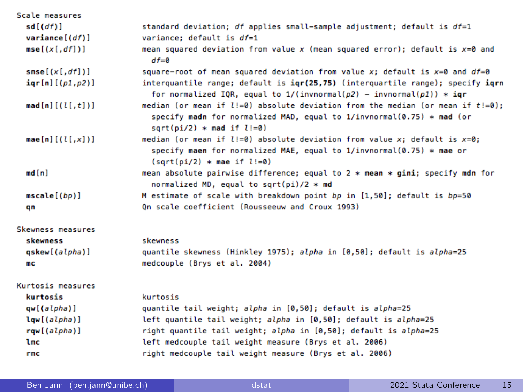| Scale measures          |                                                                                                                                                                                                        |
|-------------------------|--------------------------------------------------------------------------------------------------------------------------------------------------------------------------------------------------------|
| sd[(df)]                | standard deviation; df applies small-sample adjustment; default is $df=1$                                                                                                                              |
| variance[(df)]          | variance: default is $df=1$                                                                                                                                                                            |
| mse[(x[, df])]          | mean squared deviation from value x (mean squared error); default is $x=0$ and<br>$df=0$                                                                                                               |
| smse[(x[, df])]         | square-root of mean squared deviation from value x; default is $x=0$ and $df=0$                                                                                                                        |
| $iqr[n]$ [( $p1, p2$ )] | interquantile range; default is igr(25,75) (interquartile range); specify igrn<br>for normalized IQR, equal to $1/(invnormal(\rho2) - invnormal(\rho1)) * iqr$                                         |
| $mod[n]$ [(l[,t])]      | median (or mean if $l := 0$ ) absolute deviation from the median (or mean if $t := 0$ );<br>specify madn for normalized MAD, equal to $1/invonormal(0.75)$ * mad (or<br>$sart(pi/2)$ * mad if $l:=0$ ) |
| $mae[n]$ [(l[,x])]      | median (or mean if $l := 0$ ) absolute deviation from value x; default is $x=0$ ;<br>specify maen for normalized MAE, equal to 1/invnormal(0.75) * mae or<br>$(sart(pi/2) * mae if l!=0)$              |
| md[n]                   | mean absolute pairwise difference; equal to 2 * mean * gini; specify mdn for<br>normalized MD, equal to sqrt(pi)/2 $*$ md                                                                              |
| mscale[(bp)]            | M estimate of scale with breakdown point bp in [1,50]; default is bp=50                                                                                                                                |
| qn                      | On scale coefficient (Rousseeuw and Croux 1993)                                                                                                                                                        |
| Skewness measures       |                                                                                                                                                                                                        |
| skewness                | skewness                                                                                                                                                                                               |
| qskew[(alpha)]          | quantile skewness (Hinkley 1975); alpha in [0,50]; default is alpha=25                                                                                                                                 |
| mc                      | medcouple (Brys et al. 2004)                                                                                                                                                                           |
| Kurtosis measures       |                                                                                                                                                                                                        |
| kurtosis                | kurtosis                                                                                                                                                                                               |
| qw[(alpha)]             | quantile tail weight; alpha in [0,50]; default is alpha=25                                                                                                                                             |
| lqw[(alpha)]            | left quantile tail weight; alpha in [0,50]; default is alpha=25                                                                                                                                        |
| rqw[(alpha)]            | right quantile tail weight; alpha in [0,50]; default is alpha=25                                                                                                                                       |
| lmc                     | left medcouple tail weight measure (Brys et al. 2006)                                                                                                                                                  |
| rmc                     | right medcouple tail weight measure (Brys et al. 2006)                                                                                                                                                 |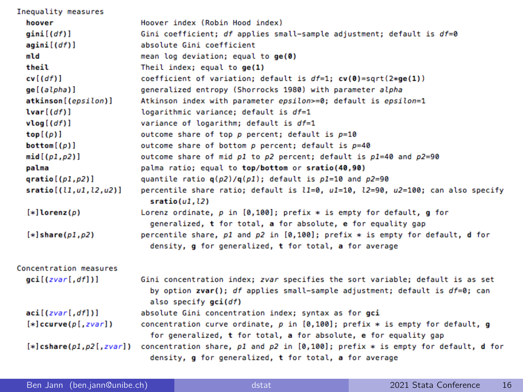| Inequality measures              |                                                                                                                                                                                        |
|----------------------------------|----------------------------------------------------------------------------------------------------------------------------------------------------------------------------------------|
| hoover                           | Hoover index (Robin Hood index)                                                                                                                                                        |
| gini[(df)]                       | Gini coefficient; df applies small-sample adjustment; default is $df=0$                                                                                                                |
| agini[(df)]                      | absolute Gini coefficient                                                                                                                                                              |
| mld                              | mean log deviation; equal to ge(0)                                                                                                                                                     |
| theil                            | Theil index; equal to $ge(1)$                                                                                                                                                          |
| cv[(df)]                         | coefficient of variation; default is $df=1$ ; $cv(0)=sqrt(2*ge(1))$                                                                                                                    |
| ge[(alpha)]                      | generalized entropy (Shorrocks 1980) with parameter alpha                                                                                                                              |
| atkinson[(epsilon)]              | Atkinson index with parameter epsilon>=0; default is epsilon=1                                                                                                                         |
| lvar[(df)]                       | logarithmic variance; default is df=1                                                                                                                                                  |
| vlog[(df)]                       | variance of logarithm; default is df=1                                                                                                                                                 |
| top[(p)]                         | outcome share of top $p$ percent; default is $p=10$                                                                                                                                    |
| bottom([p])                      | outcome share of bottom $p$ percent; default is $p=40$                                                                                                                                 |
| mid(p1,p2)]                      | outcome share of mid $p1$ to $p2$ percent; default is $p1=40$ and $p2=90$                                                                                                              |
| palma                            | palma ratio; equal to top/bottom or sratio(40,90)                                                                                                                                      |
| qratio[(p1,p2)]                  | quantile ratio $q(p2)/q(p1)$ ; default is $p1=10$ and $p2=90$                                                                                                                          |
| sratio[(l1,u1,l2,u2)]            | percentile share ratio; default is $l1=0$ , $u1=10$ , $l2=90$ , $u2=100$ ; can also specify<br>sratio(u1, l2)                                                                          |
| $[*] \text{Lorenz}(p)$           | Lorenz ordinate, $p$ in [0,100]; prefix $*$ is empty for default, g for<br>generalized, t for total, a for absolute, e for equality gap                                                |
| $[*] share(p1,p2)$               | percentile share, p1 and p2 in [0,100]; prefix * is empty for default, d for<br>density, g for generalized, t for total, a for average                                                 |
| Concentration measures           |                                                                                                                                                                                        |
| $\text{gci}[(zvar[, df])]$       | Gini concentration index; zvar specifies the sort variable; default is as set<br>by option zvar(); df applies small-sample adjustment; default is $df=0$ ; can<br>also specify gci(df) |
| aci[(zvar[, df])]                | absolute Gini concentration index; syntax as for gci                                                                                                                                   |
| $[*]$ ccurve $(p[, zvar])$       | concentration curve ordinate, $p$ in [0,100]; prefix $*$ is empty for default, g<br>for generalized, t for total, a for absolute, e for equality gap                                   |
| $[*]$ cshare( $p1, p2[$ , zvar]) | concentration share, $p1$ and $p2$ in [0,100]; prefix $*$ is empty for default, d for<br>density, g for generalized, t for total, a for average                                        |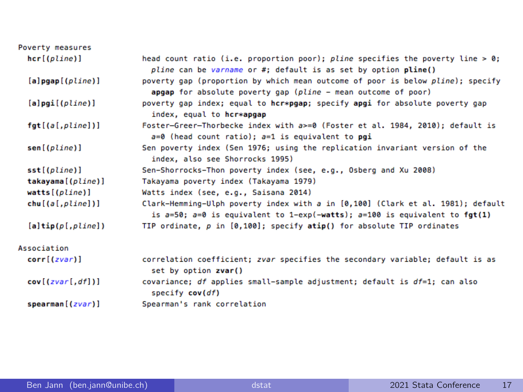| Poverty measures           |                                                                                                                                                                      |
|----------------------------|----------------------------------------------------------------------------------------------------------------------------------------------------------------------|
| hcr[(plane)]               | head count ratio (i.e. proportion poor); pline specifies the poverty line > 0;<br>pline can be varname or #; default is as set by option pline()                     |
| $[a]$ pgap $[($ pline $)]$ | poverty gap (proportion by which mean outcome of poor is below pline); specify<br>apgap for absolute poverty gap (pline - mean outcome of poor)                      |
| $[a]$ pgi $[($ pline $)]$  | poverty gap index; equal to hcr*pgap; specify apgi for absolute poverty gap<br>index, equal to hcr*apgap                                                             |
| fgt[(a[,pline])]           | Foster-Greer-Thorbecke index with a>=0 (Foster et al. 1984, 2010); default is<br>$a=0$ (head count ratio); $a=1$ is equivalent to pgi                                |
| sen[(pline)]               | Sen poverty index (Sen 1976; using the replication invariant version of the<br>index, also see Shorrocks 1995)                                                       |
| sst[(plane)]               | Sen-Shorrocks-Thon poverty index (see, e.g., Osberg and Xu 2008)                                                                                                     |
| takayama[(pline)]          | Takayama poverty index (Takayama 1979)                                                                                                                               |
| watts[(pline)]             | Watts index (see, e.g., Saisana 2014)                                                                                                                                |
| chu[(a[,pline])]           | Clark-Hemming-Ulph poverty index with a in [0,100] (Clark et al. 1981); default<br>is $a=50$ ; $a=0$ is equivalent to 1-exp(-watts); $a=100$ is equivalent to fgt(1) |
| $[a]$ tip $(p[,$ pline])   | TIP ordinate, $p$ in $[0,100]$ ; specify atip() for absolute TIP ordinates                                                                                           |
| Association                |                                                                                                                                                                      |
| corr[(zvar)]               | correlation coefficient; zvar specifies the secondary variable; default is as<br>set by option zvar()                                                                |
| cov[(zvar[, df])]          | covariance; df applies small-sample adjustment; default is $df=1$ ; can also<br>specify cov(df)                                                                      |
| spearman[(zvar)]           | Spearman's rank correlation                                                                                                                                          |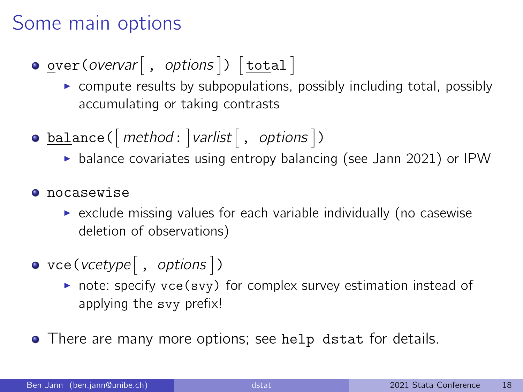### Some main options

 $\texttt{\underline{over}}(\textit{overvar}[\ , \ \textit{options}])\ [\texttt{\underline{total}}]$ 

- $\triangleright$  compute results by subpopulations, possibly including total, possibly accumulating or taking contrasts
- $\mathtt{ball}$ ance( $[\mathit{method}\colon]$ varlist $[\;,\; \mathit{options}\;])$ 
	- $\triangleright$  balance covariates using entropy balancing (see Jann 2021) or IPW
- **O** nocasewise
	- $\triangleright$  exclude missing values for each variable individually (no casewise deletion of observations)
- $\text{vec}(\text{vcetype} \, | \, , \, \text{options} \, |)$ 
	- $\triangleright$  note: specify vce(svy) for complex survey estimation instead of applying the svy prefix!
- There are many more options; see help dstat for details.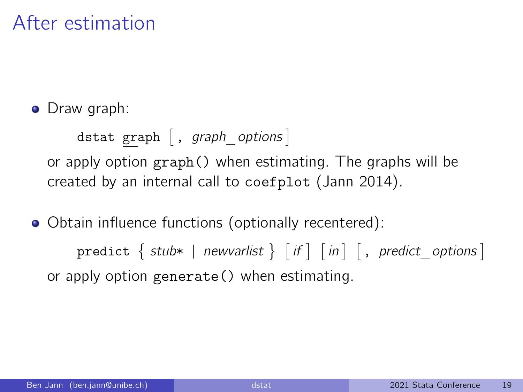#### After estimation

• Draw graph:

dstat graph  $[$  , graph options  $]$ or apply option graph() when estimating. The graphs will be created by an internal call to coefplot (Jann 2014).

Obtain influence functions (optionally recentered):

 $\texttt{predict}\ \Set{\ \textsf{ stub*}\ |\ \textsf{newvarlist}\ \Set{ \ \textsf{if}\ |\ \textsf{in}\ |\ }, \ \textsf{predict}\_\textsf{options}\ ] }$ or apply option generate() when estimating.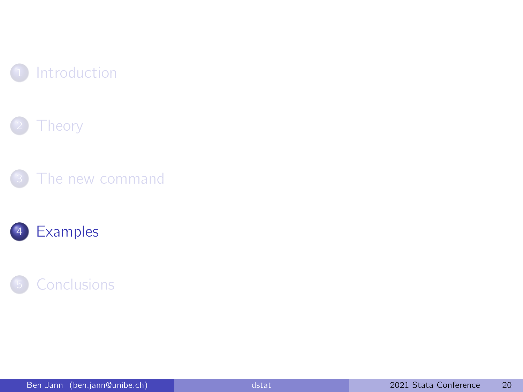<span id="page-19-0"></span>







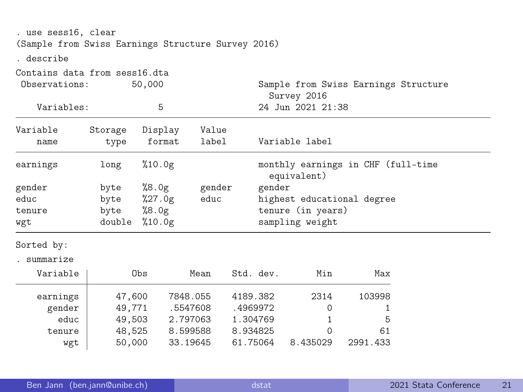| . use sess16, clear<br>(Sample from Swiss Earnings Structure Survey 2016) |         |                   |        |                                                     |  |  |  |  |
|---------------------------------------------------------------------------|---------|-------------------|--------|-----------------------------------------------------|--|--|--|--|
| . describe                                                                |         |                   |        |                                                     |  |  |  |  |
| Contains data from sess16.dta<br>Observations:                            |         | 50,000            |        | Sample from Swiss Earnings Structure<br>Survey 2016 |  |  |  |  |
| Variables:                                                                |         | 5                 |        | 24 Jun 2021 21:38                                   |  |  |  |  |
| Variable                                                                  | Storage | Display           | Value  |                                                     |  |  |  |  |
| name                                                                      | type    | format            | label  | Variable label                                      |  |  |  |  |
| earnings                                                                  | long    | %10.0g            |        | monthly earnings in CHF (full-time<br>equivalent)   |  |  |  |  |
| gender                                                                    | byte    | %8.0g             | gender | gender                                              |  |  |  |  |
| educ                                                                      | byte    | $\frac{27.0g}{ }$ | educ   | highest educational degree                          |  |  |  |  |
| tenure                                                                    | byte    | %8.0g             |        | tenure (in years)                                   |  |  |  |  |
| wgt                                                                       | double  | %10.0g            |        | sampling weight                                     |  |  |  |  |
| Sorted by:                                                                |         |                   |        |                                                     |  |  |  |  |

. summarize

| Variable | Obs    | Mean     | Std. dev. | Min      | Max      |
|----------|--------|----------|-----------|----------|----------|
| earnings | 47,600 | 7848.055 | 4189.382  | 2314     | 103998   |
| gender   | 49,771 | .5547608 | .4969972  |          |          |
| educ     | 49,503 | 2.797063 | 1.304769  |          | 5        |
| tenure   | 48.525 | 8.599588 | 8.934825  |          | 61       |
| wgt      | 50,000 | 33.19645 | 61.75064  | 8.435029 | 2991.433 |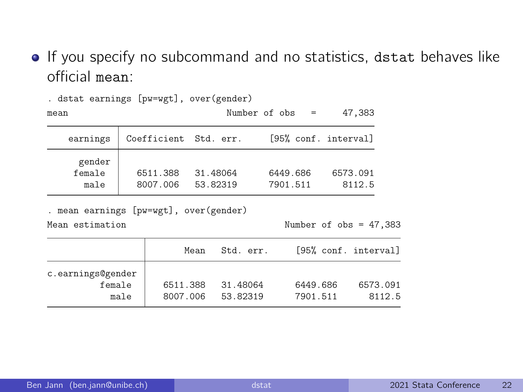**.** If you specify no subcommand and no statistics, dstat behaves like official mean:

| mean                     |                       |                      | Number of $obs =$    | 47,383             |
|--------------------------|-----------------------|----------------------|----------------------|--------------------|
| earnings                 | Coefficient Std. err. |                      | [95% conf. interval] |                    |
| gender<br>female<br>male | 6511.388<br>8007.006  | 31.48064<br>53.82319 | 6449.686<br>7901.511 | 6573.091<br>8112.5 |

. dstat earnings [pw=wgt], over(gender)

. mean earnings [pw=wgt], over(gender)

Mean estimation Number of obs = 47,383

|                                     | Mean                 | Std. err.            | [95% conf. interval]                       |
|-------------------------------------|----------------------|----------------------|--------------------------------------------|
| c.earnings@gender<br>female<br>male | 6511.388<br>8007.006 | 31.48064<br>53.82319 | 6449.686<br>6573.091<br>7901.511<br>8112.5 |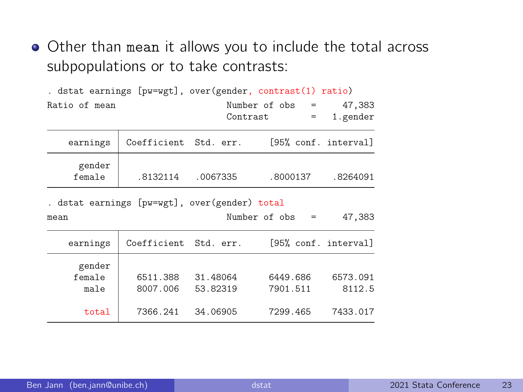Other than mean it allows you to include the total across subpopulations or to take contrasts:

|                                                       |                      |                       | . dstat earnings [pw=wgt], over(gender, contrast(1) ratio) |                    |
|-------------------------------------------------------|----------------------|-----------------------|------------------------------------------------------------|--------------------|
| Ratio of mean                                         |                      |                       | Number of obs =                                            | 47,383             |
|                                                       |                      |                       | Contrast<br>$=$                                            | 1.gender           |
| earnings                                              |                      | Coefficient Std. err. | [95% conf. interval]                                       |                    |
| gender<br>female                                      | .8132114             | .0067335              | .8000137                                                   | .8264091           |
| . dstat earnings [pw=wgt], over(gender) total<br>mean |                      |                       | Number of obs<br>$=$                                       | 47,383             |
| earnings                                              |                      | Coefficient Std. err. | [95% conf. interval]                                       |                    |
| gender<br>female<br>male                              | 6511.388<br>8007.006 | 31.48064<br>53.82319  | 6449.686<br>7901.511                                       | 6573.091<br>8112.5 |
| total                                                 | 7366.241             | 34.06905              | 7299.465                                                   | 7433.017           |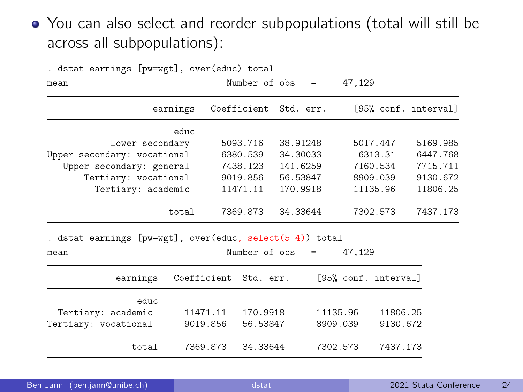#### You can also select and reorder subpopulations (total will still be across all subpopulations):

| . dstat earnings [pw=wgt], over(educ) total                                                                                      |                                                          |                                                          |                                                         |                                                          |  |  |  |
|----------------------------------------------------------------------------------------------------------------------------------|----------------------------------------------------------|----------------------------------------------------------|---------------------------------------------------------|----------------------------------------------------------|--|--|--|
| mean                                                                                                                             | Number of $obs =$                                        |                                                          | 47,129                                                  |                                                          |  |  |  |
| earnings                                                                                                                         | Coefficient Std. err.                                    |                                                          |                                                         | [95% conf. interval]                                     |  |  |  |
| educ<br>Lower secondary<br>Upper secondary: vocational<br>Upper secondary: general<br>Tertiary: vocational<br>Tertiary: academic | 5093.716<br>6380.539<br>7438.123<br>9019.856<br>11471.11 | 38.91248<br>34.30033<br>141.6259<br>56.53847<br>170.9918 | 5017.447<br>6313.31<br>7160.534<br>8909.039<br>11135.96 | 5169.985<br>6447.768<br>7715.711<br>9130.672<br>11806.25 |  |  |  |
| total                                                                                                                            | 7369.873                                                 | 34.33644                                                 | 7302.573                                                | 7437.173                                                 |  |  |  |

. dstat earnings [pw=wgt], over(educ, select(5 4)) total

| mean | Number of obs<br>the contract of the contract of the contract of the contract of the contract of | the contract of the contract of | the contract of the contract of |  | 47,129<br>$\sim$ $\sim$ |
|------|--------------------------------------------------------------------------------------------------|---------------------------------|---------------------------------|--|-------------------------|
|------|--------------------------------------------------------------------------------------------------|---------------------------------|---------------------------------|--|-------------------------|

| earnings                                           | Coefficient Std. err. |                      | [95% conf. interval] |                      |
|----------------------------------------------------|-----------------------|----------------------|----------------------|----------------------|
| educ<br>Tertiary: academic<br>Tertiary: vocational | 11471.11<br>9019.856  | 170.9918<br>56.53847 | 11135.96<br>8909.039 | 11806.25<br>9130.672 |
| total                                              | 7369.873              | 34.33644             | 7302.573             | 7437.173             |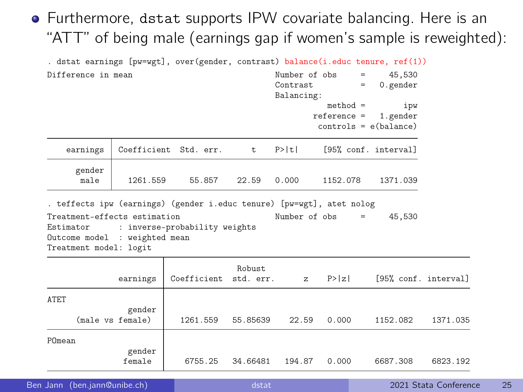#### Furthermore, dstat supports IPW covariate balancing. Here is an "ATT" of being male (earnings gap if women's sample is reweighted):

| . dstat earnings [pw=wgt], over(gender, contrast) balance(i.educ tenure, ref(1))                                                                                                                            |                                         |                             |                              |              |                             |                                            |          |
|-------------------------------------------------------------------------------------------------------------------------------------------------------------------------------------------------------------|-----------------------------------------|-----------------------------|------------------------------|--------------|-----------------------------|--------------------------------------------|----------|
| Difference in mean                                                                                                                                                                                          | Number of obs<br>Contrast<br>Balancing: | $=$                         | 45,530<br>$0.$ gender<br>$=$ |              |                             |                                            |          |
|                                                                                                                                                                                                             |                                         |                             |                              |              | $method =$<br>$reference =$ | ipw<br>1.gender<br>$controls = e(balance)$ |          |
| earnings                                                                                                                                                                                                    |                                         | Coefficient Std. err.       | t.                           | P>  t        |                             | [95% conf. interval]                       |          |
| gender<br>male                                                                                                                                                                                              |                                         | 1261.559 55.857 22.59 0.000 |                              |              | 1152.078                    | 1371.039                                   |          |
| . teffects ipw (earnings) (gender i.educ tenure) [pw=wgt], atet nolog<br>Treatment-effects estimation<br>Estimator : inverse-probability weights<br>Outcome model : weighted mean<br>Treatment model: logit |                                         |                             |                              |              | Number of obs               | 45.530<br>$=$ $-$                          |          |
|                                                                                                                                                                                                             | earnings                                | Coefficient std. err.       | Robust.                      | $\mathbf{z}$ | P >  z                      | [95% conf. interval]                       |          |
| ATET                                                                                                                                                                                                        | gender<br>(male vs female)              | 1261.559                    | 55.85639                     | 22.59        | 0.000                       | 1152.082                                   | 1371.035 |
| POmean                                                                                                                                                                                                      | gender<br>female                        | 6755.25                     | 34.66481                     | 194.87       | 0.000                       | 6687.308                                   | 6823.192 |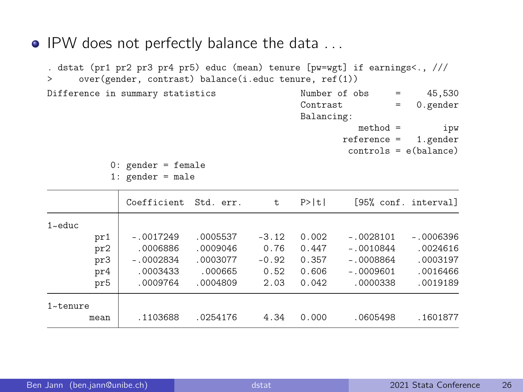• IPW does not perfectly balance the data ...

. dstat (pr1 pr2 pr3 pr4 pr5) educ (mean) tenure [pw=wgt] if earnings<., /// > over(gender, contrast) balance(i.educ tenure, ref(1)) Difference in summary statistics Number of obs = 45,530<br>Contrast = 0 gender = 0.gender Balancing: method = ipw

reference = 1.gender controls = e(balance)

0: gender = female 1:  $\sigma$ ender = male

|               | Coefficient | Std. err. | t.      | P>  t |             | [95% conf. interval] |
|---------------|-------------|-----------|---------|-------|-------------|----------------------|
| $1$ ~ educ    |             |           |         |       |             |                      |
| pr1           | $-.0017249$ | .0005537  | $-3.12$ | 0.002 | $-.0028101$ | $-.0006396$          |
| pr2           | .0006886    | .0009046  | 0.76    | 0.447 | $-.0010844$ | .0024616             |
| pr3           | $-.0002834$ | .0003077  | $-0.92$ | 0.357 | $-.0008864$ | .0003197             |
| pr4           | .0003433    | .000665   | 0.52    | 0.606 | $-.0009601$ | .0016466             |
| pr5           | .0009764    | .0004809  | 2.03    | 0.042 | .0000338    | .0019189             |
| $1 - t$ enure |             |           |         |       |             |                      |
| mean          | .1103688    | .0254176  | 4.34    | 0.000 | .0605498    | .1601877             |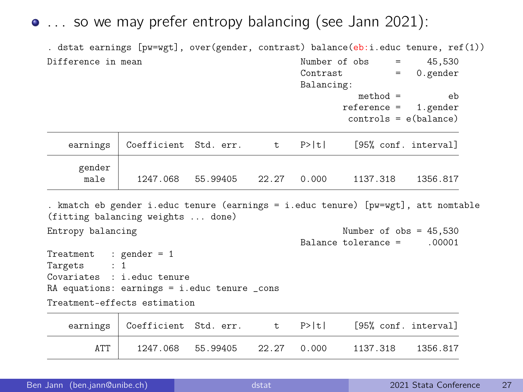. . . so we may prefer entropy balancing (see Jann 2021):

. dstat earnings [pw=wgt], over(gender, contrast) balance(eb:i.educ tenure, ref(1)) Difference in mean  $\frac{1}{2}$  Number of obs = 45,530

|                                                                            |                                                                                                                         |                         |   | Contrast<br>Balancing: |                                                    | $=$ 0.gender |
|----------------------------------------------------------------------------|-------------------------------------------------------------------------------------------------------------------------|-------------------------|---|------------------------|----------------------------------------------------|--------------|
|                                                                            |                                                                                                                         |                         |   |                        | $method =$<br>$reference = 1.gender$               | eb           |
|                                                                            |                                                                                                                         |                         |   |                        | $controls = e(balance)$                            |              |
| earnings                                                                   |                                                                                                                         |                         |   |                        | Coefficient Std. err. t P> t  [95% conf. interval] |              |
| gender<br>male                                                             |                                                                                                                         | 1247.068 55.99405 22.27 |   | 0.000                  | 1137.318                                           | 1356.817     |
|                                                                            | . kmatch eb gender i.educ tenure (earnings = i.educ tenure) [pw=wgt], att nomtable<br>(fitting balancing weights  done) |                         |   |                        |                                                    |              |
| Entropy balancing                                                          |                                                                                                                         |                         |   |                        | Number of $obs = 45,530$<br>Balance tolerance =    | .00001       |
| Treatment : gender = $1$<br>Targets : 1                                    |                                                                                                                         |                         |   |                        |                                                    |              |
| Covariates : i.educ tenure<br>RA equations: earnings = i.educ tenure _cons |                                                                                                                         |                         |   |                        |                                                    |              |
| Treatment-effects estimation                                               |                                                                                                                         |                         |   |                        |                                                    |              |
| earnings                                                                   | Coefficient Std. err.                                                                                                   |                         | t | P>  t                  | [95% conf. interval]                               |              |

| earnings | Coefficient Std. err. |          |       | P>ltl | [95% conf. interval] |          |
|----------|-----------------------|----------|-------|-------|----------------------|----------|
|          | 1247.068              | 55 99405 | 22.27 | 0.000 | 1137 318             | 1356 817 |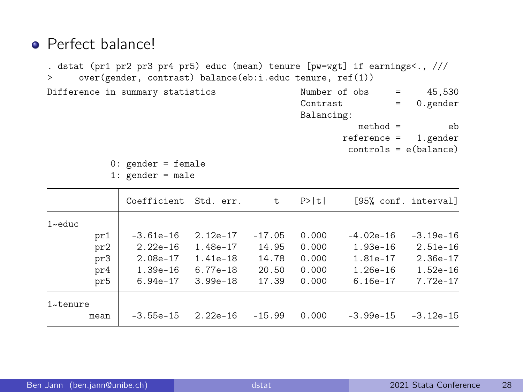#### **•** Perfect balance!

. dstat (pr1 pr2 pr3 pr4 pr5) educ (mean) tenure [pw=wgt] if earnings<., /// > over(gender, contrast) balance(eb:i.educ tenure, ref(1)) Difference in summary statistics  $\frac{Number\ of\ obs}{Constant} = 45,530$  $= 0.\text{gender}$ Balancing:  $m\not\equiv$  eb reference = 1.gender

controls = e(balance)

0: gender = female

| male<br>gender |  |
|----------------|--|
|----------------|--|

|               |      | Coefficient | Std. err.  | t.       | P>  t |             | [95% conf. interval] |
|---------------|------|-------------|------------|----------|-------|-------------|----------------------|
| $1$ ~educ     |      |             |            |          |       |             |                      |
|               | pr1  | $-3.61e-16$ | $2.12e-17$ | $-17.05$ | 0.000 | $-4.02e-16$ | $-3.19e-16$          |
|               | pr2  | $2.22e-16$  | 1.48e-17   | 14.95    | 0.000 | $1.93e-16$  | $2.51e-16$           |
|               | pr3  | $2.08e-17$  | $1.41e-18$ | 14.78    | 0.000 | 1.81e-17    | $2.36e-17$           |
|               | pr4  | $1.39e-16$  | $6.77e-18$ | 20.50    | 0.000 | $1.26e-16$  | $1.52e-16$           |
|               | pr5  | $6.94e-17$  | $3.99e-18$ | 17.39    | 0.000 | $6.16e-17$  | 7.72e-17             |
| $1 - t$ enure |      |             |            |          |       |             |                      |
|               | mean | $-3.55e-15$ | $2.22e-16$ | $-15.99$ | 0.000 | $-3.99e-15$ | $-3.12e-15$          |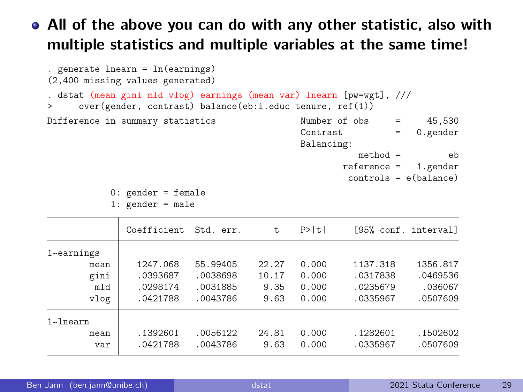#### All of the above you can do with any other statistic, also with multiple statistics and multiple variables at the same time!

```
. generate lnearn = ln(earnings)
(2,400 missing values generated)
. dstat (mean gini mld vlog) earnings (mean var) lnearn [pw=wgt], ///
     > over(gender, contrast) balance(eb:i.educ tenure, ref(1))
Difference in summary statistics \frac{Number\ of\ obs}{Constant} = 45,530= 0.\text{gender}Balancing:
                                                     method = e eb<br>ference = 1.\text{gender}reference =controls = e(balance)
          0: gender = female
          1: gender = male
             Coefficient Std. err. t P>|t| [95% conf. interval]
1~
earnings
       mean 1247.068 55.99405 22.27 0.000 1137.318 1356.817
       gini .0393687 .0038698 10.17 0.000 .0317838 .0469536
        mld .0298174 .0031885 9.35 0.000 .0235679 .036067
       vlog .0421788 .0043786 9.63 0.000 .0335967 .0507609
1~
lnearn
       mean .1392601 .0056122 24.81 0.000 .1282601 .1502602
        var .0421788 .0043786 9.63 0.000 .0335967 .0507609
```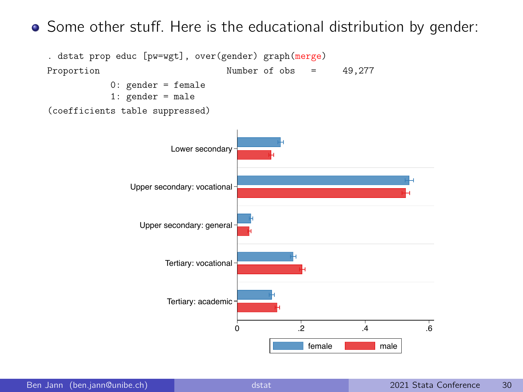Some other stuff. Here is the educational distribution by gender:

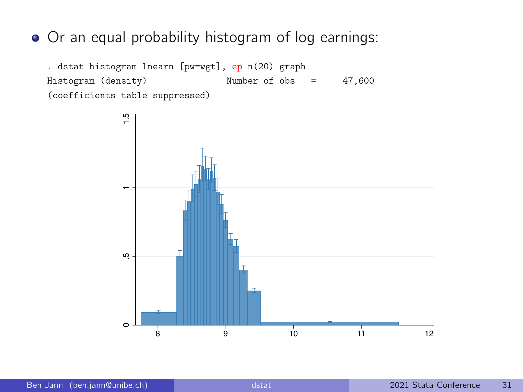#### Or an equal probability histogram of log earnings:

. dstat histogram lnearn [pw=wgt], ep n(20) graph Histogram (density) Number of obs = 47,600 (coefficients table suppressed)

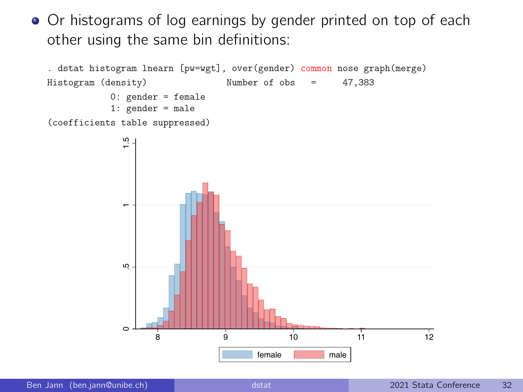• Or histograms of log earnings by gender printed on top of each other using the same bin definitions:

```
. dstat histogram lnearn [pw=wgt], over(gender) common nose graph(merge)
Histogram (density) Number of obs = 47,383
           0: gender = female
           1: gender = male
(coefficients table suppressed)
```
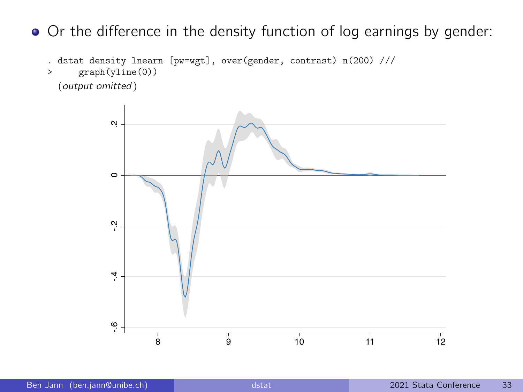• Or the difference in the density function of log earnings by gender:

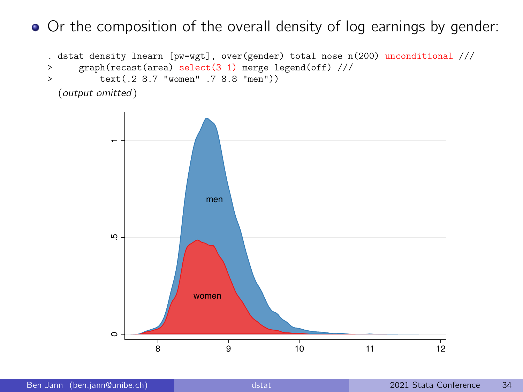• Or the composition of the overall density of log earnings by gender:

```
. dstat density lnearn [pw=wgt], over(gender) total nose n(200) unconditional ///<br>> \sigmaranh(recast(area) select(3.1) merge legend(off) ///
       > graph(recast(area) select(3 1) merge legend(off) ///
> text(.2 8.7 "women" .7 8.8 "men"))
  (output omitted )
```
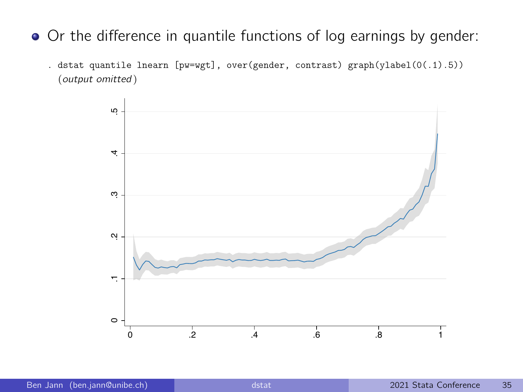- Or the difference in quantile functions of log earnings by gender:
	- . dstat quantile lnearn [pw=wgt], over(gender, contrast) graph(ylabel(0(.1).5)) (output omitted )

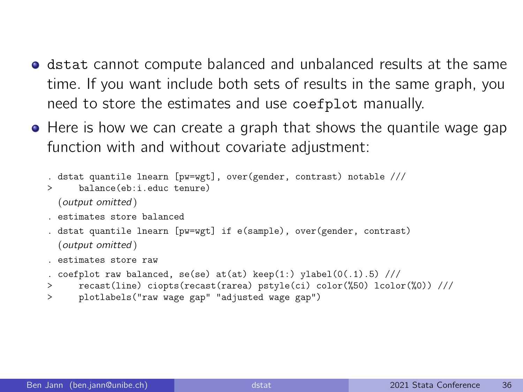- **•** dstat cannot compute balanced and unbalanced results at the same time. If you want include both sets of results in the same graph, you need to store the estimates and use coefplot manually.
- Here is how we can create a graph that shows the quantile wage gap function with and without covariate adjustment:

```
. dstat quantile lnearn [pw=wgt], over(gender, contrast) notable ///
> balance(eb:i.educ.tenure)
 (output omitted )
. estimates store balanced
. dstat quantile lnearn [pw=wgt] if e(sample), over(gender, contrast)
 (output omitted )
```
. estimates store raw

```
. coefplot raw balanced, se(se) at(at) keep(1:) ylabel(0(.1).5) ///
```
- > recast(line) ciopts(recast(rarea) pstyle(ci) color(%50) lcolor(%0)) ///
- > plotlabels("raw wage gap" "adjusted wage gap")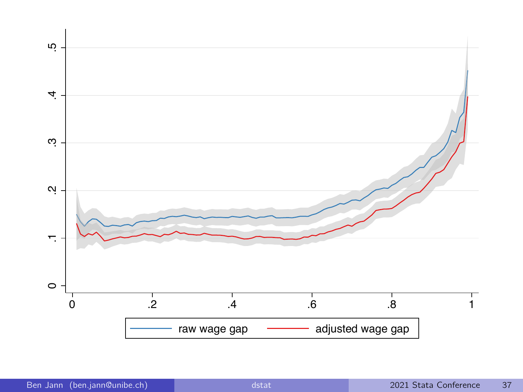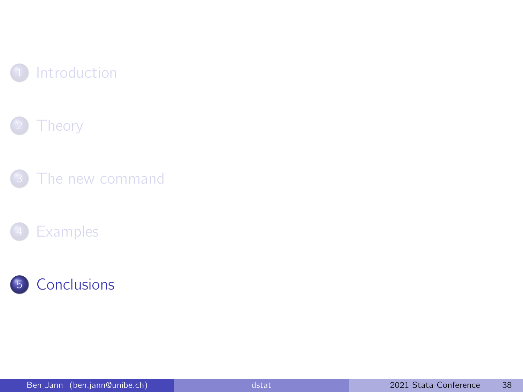<span id="page-37-0"></span>







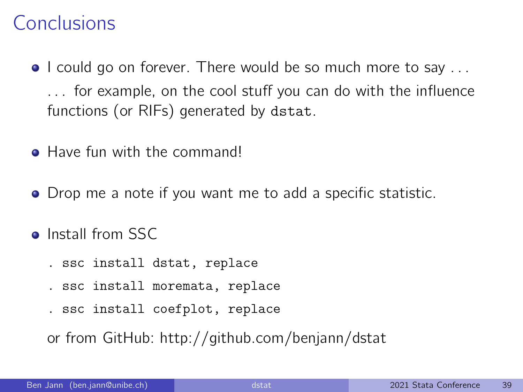#### Conclusions

- I could go on forever. There would be so much more to say ... . . . for example, on the cool stuff you can do with the influence functions (or RIFs) generated by dstat.
- **Have fun with the commandl**
- Drop me a note if you want me to add a specific statistic.
- Install from SSC
	- . ssc install dstat, replace
	- . ssc install moremata, replace
	- . ssc install coefplot, replace

or from GitHub:<http://github.com/benjann/dstat>